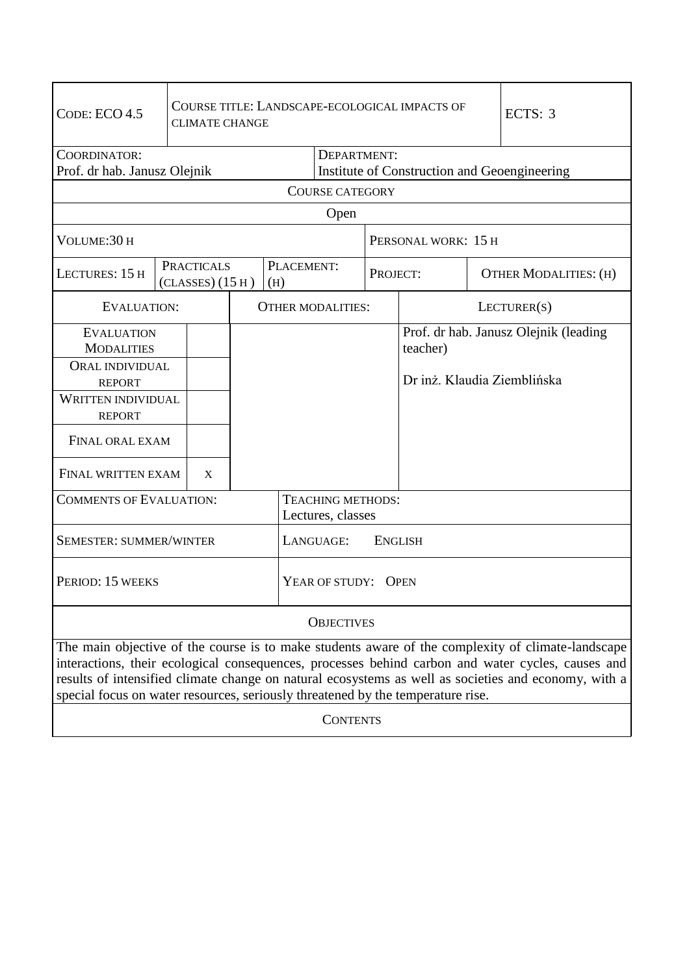| CODE: ECO 4.5                                                                                                                                                                                                                                                                                                                                                                                     |  | COURSE TITLE: LANDSCAPE-ECOLOGICAL IMPACTS OF<br><b>CLIMATE CHANGE</b> |                          |                   |                                               |          |                             |                     | ECTS: 3                               |  |
|---------------------------------------------------------------------------------------------------------------------------------------------------------------------------------------------------------------------------------------------------------------------------------------------------------------------------------------------------------------------------------------------------|--|------------------------------------------------------------------------|--------------------------|-------------------|-----------------------------------------------|----------|-----------------------------|---------------------|---------------------------------------|--|
| COORDINATOR:                                                                                                                                                                                                                                                                                                                                                                                      |  |                                                                        |                          |                   | DEPARTMENT:                                   |          |                             |                     |                                       |  |
| Prof. dr hab. Janusz Olejnik                                                                                                                                                                                                                                                                                                                                                                      |  |                                                                        |                          |                   | Institute of Construction and Geoengineering  |          |                             |                     |                                       |  |
| <b>COURSE CATEGORY</b>                                                                                                                                                                                                                                                                                                                                                                            |  |                                                                        |                          |                   |                                               |          |                             |                     |                                       |  |
|                                                                                                                                                                                                                                                                                                                                                                                                   |  |                                                                        |                          |                   | Open                                          |          |                             |                     |                                       |  |
| VOLUME:30 H                                                                                                                                                                                                                                                                                                                                                                                       |  |                                                                        |                          |                   |                                               |          |                             | PERSONAL WORK: 15 H |                                       |  |
| LECTURES: 15 H                                                                                                                                                                                                                                                                                                                                                                                    |  | <b>PRACTICALS</b><br>(CLASSES) (15 H)                                  |                          | PLACEMENT:<br>(H) |                                               | PROJECT: |                             |                     | <b>OTHER MODALITIES: (H)</b>          |  |
| <b>EVALUATION:</b>                                                                                                                                                                                                                                                                                                                                                                                |  |                                                                        | <b>OTHER MODALITIES:</b> |                   |                                               |          | LECTURER(S)                 |                     |                                       |  |
| <b>EVALUATION</b><br><b>MODALITIES</b>                                                                                                                                                                                                                                                                                                                                                            |  |                                                                        |                          |                   |                                               |          | teacher)                    |                     | Prof. dr hab. Janusz Olejnik (leading |  |
| <b>ORAL INDIVIDUAL</b><br><b>REPORT</b>                                                                                                                                                                                                                                                                                                                                                           |  |                                                                        |                          |                   |                                               |          | Dr inż. Klaudia Ziemblińska |                     |                                       |  |
| <b>WRITTEN INDIVIDUAL</b><br><b>REPORT</b>                                                                                                                                                                                                                                                                                                                                                        |  |                                                                        |                          |                   |                                               |          |                             |                     |                                       |  |
| FINAL ORAL EXAM                                                                                                                                                                                                                                                                                                                                                                                   |  |                                                                        |                          |                   |                                               |          |                             |                     |                                       |  |
| <b>FINAL WRITTEN EXAM</b><br>X                                                                                                                                                                                                                                                                                                                                                                    |  |                                                                        |                          |                   |                                               |          |                             |                     |                                       |  |
| <b>COMMENTS OF EVALUATION:</b>                                                                                                                                                                                                                                                                                                                                                                    |  |                                                                        |                          |                   | <b>TEACHING METHODS:</b><br>Lectures, classes |          |                             |                     |                                       |  |
| <b>SEMESTER: SUMMER/WINTER</b>                                                                                                                                                                                                                                                                                                                                                                    |  |                                                                        |                          |                   | <b>ENGLISH</b><br>LANGUAGE:                   |          |                             |                     |                                       |  |
| PERIOD: 15 WEEKS                                                                                                                                                                                                                                                                                                                                                                                  |  |                                                                        |                          |                   | YEAR OF STUDY: OPEN                           |          |                             |                     |                                       |  |
| <b>OBJECTIVES</b>                                                                                                                                                                                                                                                                                                                                                                                 |  |                                                                        |                          |                   |                                               |          |                             |                     |                                       |  |
| The main objective of the course is to make students aware of the complexity of climate-landscape<br>interactions, their ecological consequences, processes behind carbon and water cycles, causes and<br>results of intensified climate change on natural ecosystems as well as societies and economy, with a<br>special focus on water resources, seriously threatened by the temperature rise. |  |                                                                        |                          |                   |                                               |          |                             |                     |                                       |  |
| <b>CONTENTS</b>                                                                                                                                                                                                                                                                                                                                                                                   |  |                                                                        |                          |                   |                                               |          |                             |                     |                                       |  |